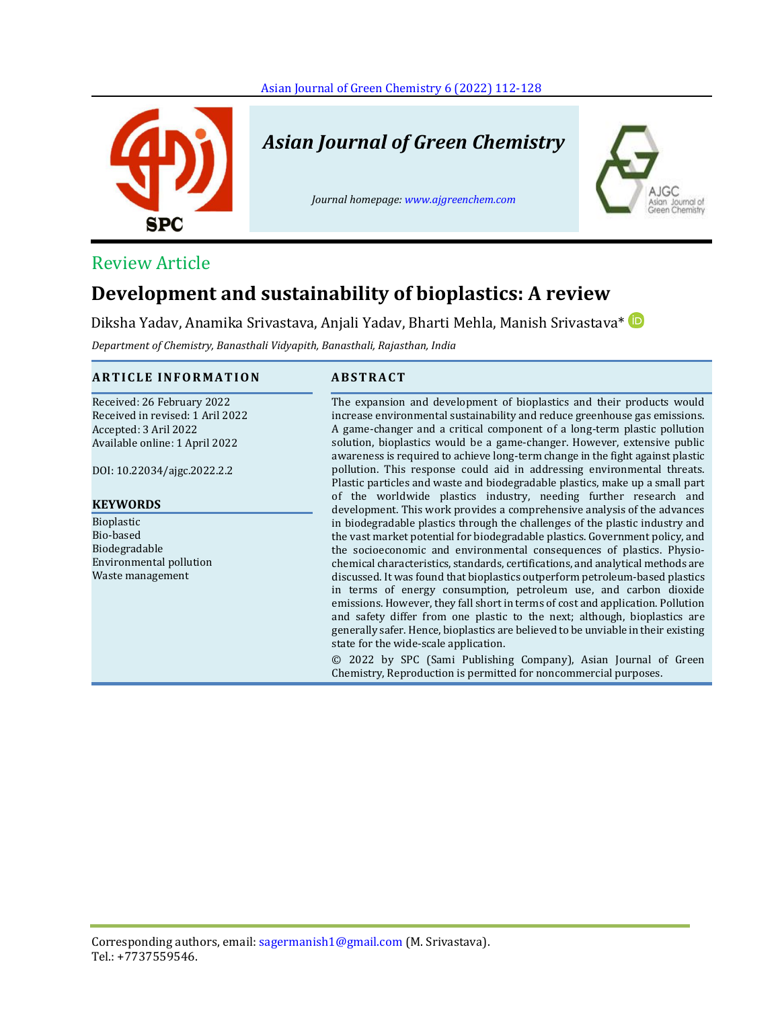

# *Asian Journal of Green Chemistry*

*Journal homepage: [www.ajgreenchem.com](http://www.ajgreenchem.com/)*



# Review Article

# **Development and sustainability of bioplastics: A review**

Diksha Yadav, Anamika Srivastava, Anjali Yadav, Bharti Mehla, Manish Srivastava\*

*Department of Chemistry, Banasthali Vidyapith, Banasthali, Rajasthan, India*

## **A R T I C L E I N F O R M A T I O N A B S T R A C T**

Received: 26 February 2022 Received in revised: 1 Aril 2022 Accepted: 3 Aril 2022 Available online: 1 April 2022

DOI: 10.22034/ajgc.2022.2.2

#### **KEYWORDS**

Bioplastic Bio-based Biodegradable Environmental pollution Waste management

The expansion and development of bioplastics and their products would increase environmental sustainability and reduce greenhouse gas emissions. A game-changer and a critical component of a long-term plastic pollution solution, bioplastics would be a game-changer. However, extensive public awareness is required to achieve long-term change in the fight against plastic pollution. This response could aid in addressing environmental threats. Plastic particles and waste and biodegradable plastics, make up a small part of the worldwide plastics industry, needing further research and development. This work provides a comprehensive analysis of the advances in biodegradable plastics through the challenges of the plastic industry and the vast market potential for biodegradable plastics. Government policy, and the socioeconomic and environmental consequences of plastics. Physiochemical characteristics, standards, certifications, and analytical methods are discussed. It was found that bioplastics outperform petroleum-based plastics in terms of energy consumption, petroleum use, and carbon dioxide emissions. However, they fall short in terms of cost and application. Pollution and safety differ from one plastic to the next; although, bioplastics are generally safer. Hence, bioplastics are believed to be unviable in their existing state for the wide-scale application.

© 2022 by SPC (Sami Publishing Company), Asian Journal of Green Chemistry, Reproduction is permitted for noncommercial purposes.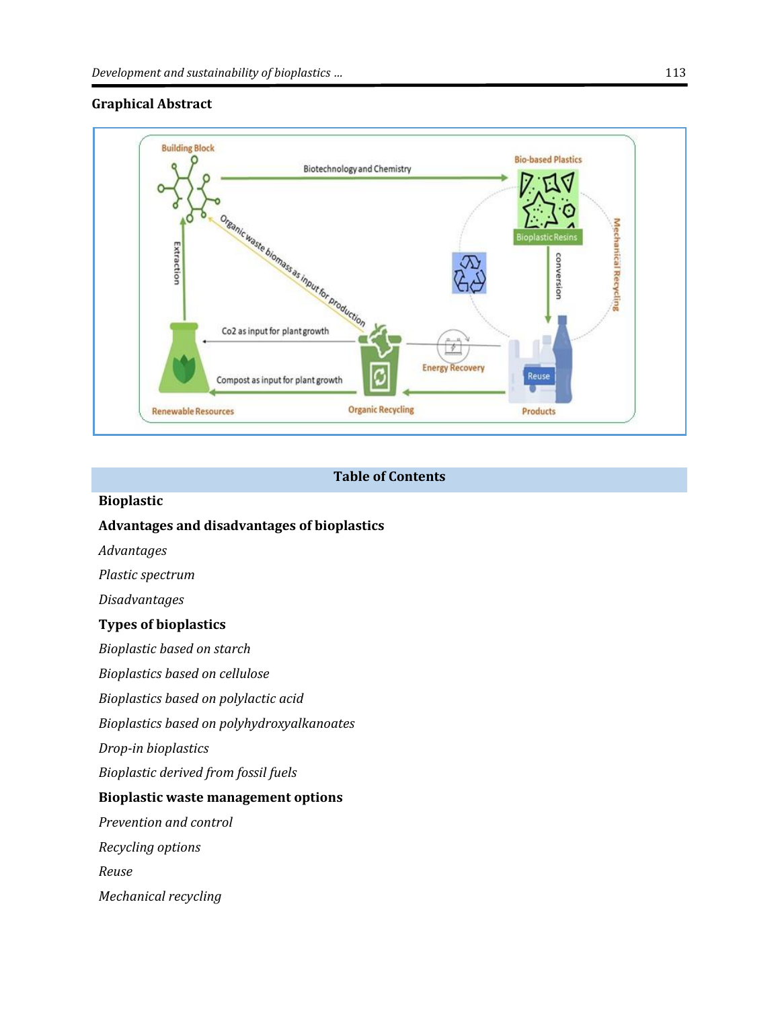# **Graphical Abstract**



# **Table of Contents**

# **Bioplastic**

# **Advantages and disadvantages of bioplastics**

*Advantages*

*Plastic spectrum*

*Disadvantages*

## **Types of bioplastics**

*Bioplastic based on starch*

*Bioplastics based on cellulose*

*Bioplastics based on polylactic acid*

*Bioplastics based on polyhydroxyalkanoates*

*Drop-in bioplastics*

*Bioplastic derived from fossil fuels*

#### **Bioplastic waste management options**

*Prevention and control*

*Recycling options*

*Reuse*

*Mechanical recycling*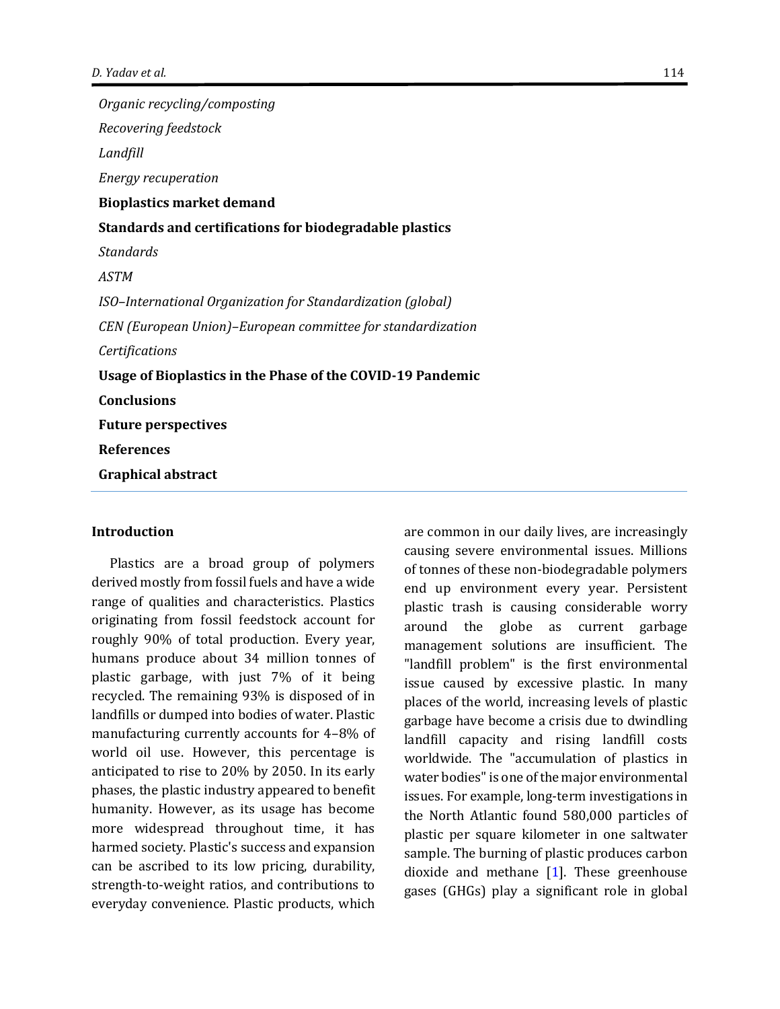*Organic recycling/composting Recovering feedstock Landfill Energy recuperation* **Bioplastics market demand Standards and certifications for biodegradable plastics** *Standards ASTM ISO–International Organization for Standardization (global) CEN (European Union)–European committee for standardization Certifications* **Usage of Bioplastics in the Phase of the COVID-19 Pandemic Conclusions Future perspectives References Graphical abstract**

#### **Introduction**

Plastics are a broad group of polymers derived mostly from fossil fuels and have a wide range of qualities and characteristics. Plastics originating from fossil feedstock account for roughly 90% of total production. Every year, humans produce about 34 million tonnes of plastic garbage, with just 7% of it being recycled. The remaining 93% is disposed of in landfills or dumped into bodies of water. Plastic manufacturing currently accounts for 4–8% of world oil use. However, this percentage is anticipated to rise to 20% by 2050. In its early phases, the plastic industry appeared to benefit humanity. However, as its usage has become more widespread throughout time, it has harmed society. Plastic's success and expansion can be ascribed to its low pricing, durability, strength-to-weight ratios, and contributions to everyday convenience. Plastic products, which

are common in our daily lives, are increasingly causing severe environmental issues. Millions of tonnes of these non-biodegradable polymers end up environment every year. Persistent plastic trash is causing considerable worry around the globe as current garbage management solutions are insufficient. The "landfill problem" is the first environmental issue caused by excessive plastic. In many places of the world, increasing levels of plastic garbage have become a crisis due to dwindling landfill capacity and rising landfill costs worldwide. The "accumulation of plastics in water bodies" is one of the major environmental issues. For example, long-term investigations in the North Atlantic found 580,000 particles of plastic per square kilometer in one saltwater sample. The burning of plastic produces carbon dioxide and methane [\[1\]](#page-15-0). These greenhouse gases (GHGs) play a significant role in global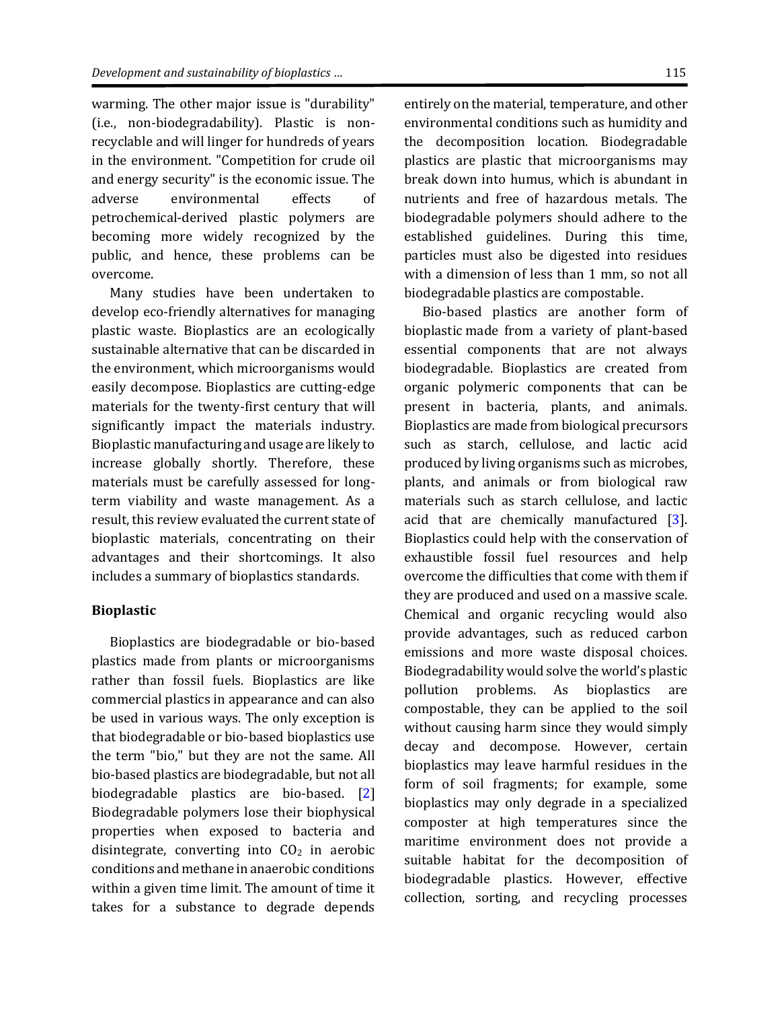warming. The other major issue is "durability" (i.e., non-biodegradability). Plastic is nonrecyclable and will linger for hundreds of years in the environment. "Competition for crude oil and energy security" is the economic issue. The adverse environmental effects of petrochemical-derived plastic polymers are becoming more widely recognized by the public, and hence, these problems can be overcome.

Many studies have been undertaken to develop eco-friendly alternatives for managing plastic waste. Bioplastics are an ecologically sustainable alternative that can be discarded in the environment, which microorganisms would easily decompose. Bioplastics are cutting-edge materials for the twenty-first century that will significantly impact the materials industry. Bioplastic manufacturing and usage are likely to increase globally shortly. Therefore, these materials must be carefully assessed for longterm viability and waste management. As a result, this review evaluated the current state of bioplastic materials, concentrating on their advantages and their shortcomings. It also includes a summary of bioplastics standards.

#### **Bioplastic**

Bioplastics are biodegradable or bio-based plastics made from plants or microorganisms rather than fossil fuels. Bioplastics are like commercial plastics in appearance and can also be used in various ways. The only exception is that biodegradable or bio-based bioplastics use the term "bio," but they are not the same. All bio-based plastics are biodegradable, but not all biodegradable plastics are bio-based. [\[2\]](#page-15-1) Biodegradable polymers lose their biophysical properties when exposed to bacteria and disintegrate, converting into  $CO<sub>2</sub>$  in aerobic conditions and methane in anaerobic conditions within a given time limit. The amount of time it takes for a substance to degrade depends

entirely on the material, temperature, and other environmental conditions such as humidity and the decomposition location. Biodegradable plastics are plastic that microorganisms may break down into humus, which is abundant in nutrients and free of hazardous metals. The biodegradable polymers should adhere to the established guidelines. During this time, particles must also be digested into residues with a dimension of less than 1 mm, so not all biodegradable plastics are compostable.

Bio-based plastics are another form of bioplastic made from a variety of plant-based essential components that are not always biodegradable. Bioplastics are created from organic polymeric components that can be present in bacteria, plants, and animals. Bioplastics are made from biological precursors such as starch, cellulose, and lactic acid produced by living organisms such as microbes, plants, and animals or from biological raw materials such as starch cellulose, and lactic acid that are chemically manufactured [\[3\]](#page-15-2). Bioplastics could help with the conservation of exhaustible fossil fuel resources and help overcome the difficulties that come with them if they are produced and used on a massive scale. Chemical and organic recycling would also provide advantages, such as reduced carbon emissions and more waste disposal choices. Biodegradability would solve the world's plastic pollution problems. As bioplastics are compostable, they can be applied to the soil without causing harm since they would simply decay and decompose. However, certain bioplastics may leave harmful residues in the form of soil fragments; for example, some bioplastics may only degrade in a specialized composter at high temperatures since the maritime environment does not provide a suitable habitat for the decomposition of biodegradable plastics. However, effective collection, sorting, and recycling processes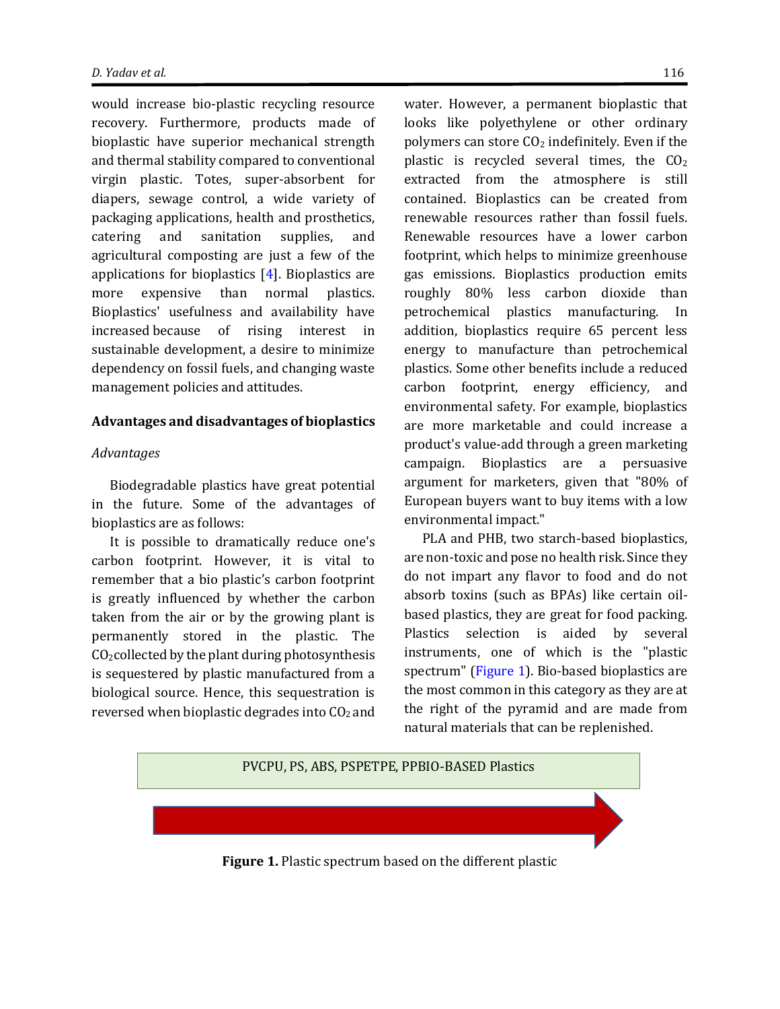would increase bio-plastic recycling resource recovery. Furthermore, products made of bioplastic have superior mechanical strength and thermal stability compared to conventional virgin plastic. Totes, super-absorbent for diapers, sewage control, a wide variety of packaging applications, health and prosthetics, catering and sanitation supplies, and agricultural composting are just a few of the applications for bioplastics  $[4]$ . Bioplastics are more expensive than normal plastics. Bioplastics' usefulness and availability have increased because of rising interest in sustainable development, a desire to minimize dependency on fossil fuels, and changing waste management policies and attitudes.

#### **Advantages and disadvantages of bioplastics**

#### *Advantages*

Biodegradable plastics have great potential in the future. Some of the advantages of bioplastics are as follows:

It is possible to dramatically reduce one's carbon footprint. However, it is vital to remember that a bio plastic's carbon footprint is greatly influenced by whether the carbon taken from the air or by the growing plant is permanently stored in the plastic. The  $CO<sub>2</sub> collected$  by the plant during photosynthesis is sequestered by plastic manufactured from a biological source. Hence, this sequestration is reversed when bioplastic degrades into  $CO<sub>2</sub>$  and

water. However, a permanent bioplastic that looks like polyethylene or other ordinary polymers can store  $CO<sub>2</sub>$  indefinitely. Even if the plastic is recycled several times, the  $CO<sub>2</sub>$ extracted from the atmosphere is still contained. Bioplastics can be created from renewable resources rather than fossil fuels. Renewable resources have a lower carbon footprint, which helps to minimize greenhouse gas emissions. Bioplastics production emits roughly 80% less carbon dioxide than petrochemical plastics manufacturing. In addition, bioplastics require 65 percent less energy to manufacture than petrochemical plastics. Some other benefits include a reduced carbon footprint, energy efficiency, and environmental safety. For example, bioplastics are more marketable and could increase a product's value-add through a green marketing campaign. Bioplastics are a persuasive argument for marketers, given that "80% of European buyers want to buy items with a low environmental impact."

PLA and PHB, two starch-based bioplastics, are non-toxic and pose no health risk. Since they do not impart any flavor to food and do not absorb toxins (such as BPAs) like certain oilbased plastics, they are great for food packing. Plastics selection is aided by several instruments, one of which is the "plastic spectrum" [\(Figure](#page-4-0) 1). Bio-based bioplastics are the most common in this category as they are at the right of the pyramid and are made from natural materials that can be replenished.

<span id="page-4-0"></span>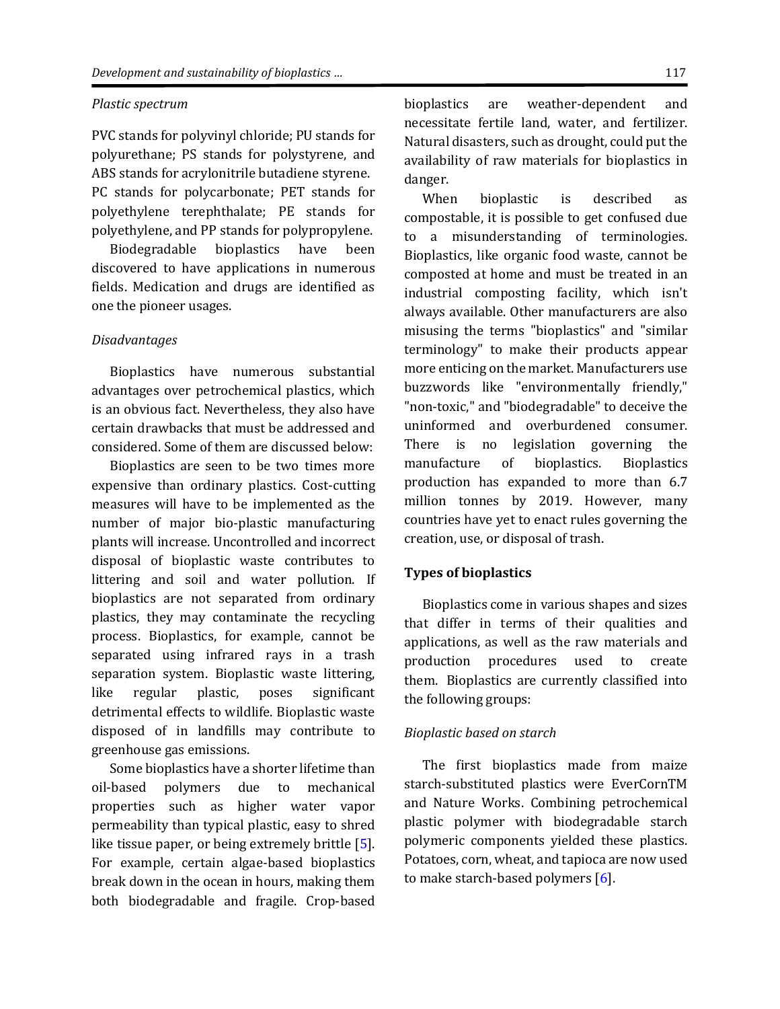#### *Plastic spectrum*

PVC stands for polyvinyl chloride; PU stands for polyurethane; PS stands for polystyrene, and ABS stands for acrylonitrile butadiene styrene. PC stands for polycarbonate; PET stands for polyethylene terephthalate; PE stands for polyethylene, and PP stands for polypropylene.

Biodegradable bioplastics have been discovered to have applications in numerous fields. Medication and drugs are identified as one the pioneer usages.

#### *Disadvantages*

Bioplastics have numerous substantial advantages over petrochemical plastics, which is an obvious fact. Nevertheless, they also have certain drawbacks that must be addressed and considered. Some of them are discussed below:

Bioplastics are seen to be two times more expensive than ordinary plastics. Cost-cutting measures will have to be implemented as the number of major bio-plastic manufacturing plants will increase. Uncontrolled and incorrect disposal of bioplastic waste contributes to littering and soil and water pollution. If bioplastics are not separated from ordinary plastics, they may contaminate the recycling process. Bioplastics, for example, cannot be separated using infrared rays in a trash separation system. Bioplastic waste littering, like regular plastic, poses significant detrimental effects to wildlife. Bioplastic waste disposed of in landfills may contribute to greenhouse gas emissions.

Some bioplastics have a shorter lifetime than oil-based polymers due to mechanical properties such as higher water vapor permeability than typical plastic, easy to shred like tissue paper, or being extremely brittle [\[5\]](#page-15-4). For example, certain algae-based bioplastics break down in the ocean in hours, making them both biodegradable and fragile. Crop-based

bioplastics are weather-dependent and necessitate fertile land, water, and fertilizer. Natural disasters, such as drought, could put the availability of raw materials for bioplastics in danger.

When bioplastic is described as compostable, it is possible to get confused due to a misunderstanding of terminologies. Bioplastics, like organic food waste, cannot be composted at home and must be treated in an industrial composting facility, which isn't always available. Other manufacturers are also misusing the terms "bioplastics" and "similar terminology" to make their products appear more enticing on the market. Manufacturers use buzzwords like "environmentally friendly," "non-toxic," and "biodegradable" to deceive the uninformed and overburdened consumer. There is no legislation governing the manufacture of bioplastics. Bioplastics production has expanded to more than 6.7 million tonnes by 2019. However, many countries have yet to enact rules governing the creation, use, or disposal of trash.

#### **Types of bioplastics**

Bioplastics come in various shapes and sizes that differ in terms of their qualities and applications, as well as the raw materials and production procedures used to create them. Bioplastics are currently classified into the following groups:

#### *Bioplastic based on starch*

The first bioplastics made from maize starch-substituted plastics were EverCornTM and Nature Works. Combining petrochemical plastic polymer with biodegradable starch polymeric components yielded these plastics. Potatoes, corn, wheat, and tapioca are now used to make starch-based polymers [\[6\]](#page-15-5).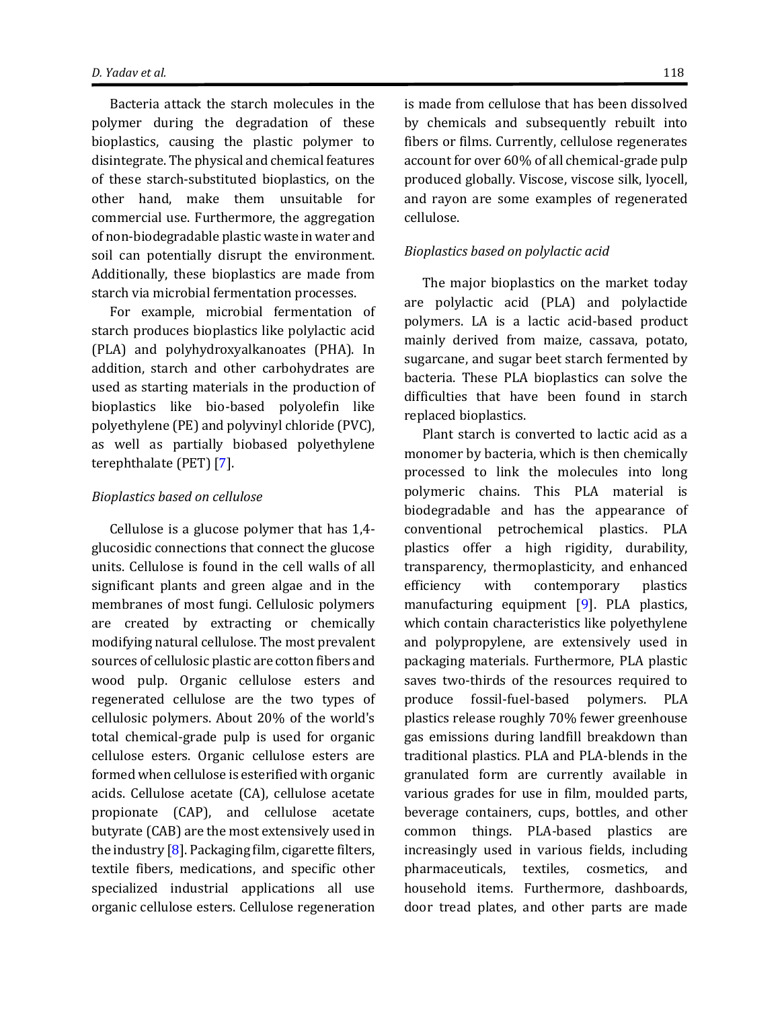Bacteria attack the starch molecules in the polymer during the degradation of these bioplastics, causing the plastic polymer to disintegrate. The physical and chemical features of these starch-substituted bioplastics, on the other hand, make them unsuitable for commercial use. Furthermore, the aggregation of non-biodegradable plastic waste in water and soil can potentially disrupt the environment. Additionally, these bioplastics are made from starch via microbial fermentation processes.

For example, microbial fermentation of starch produces bioplastics like polylactic acid (PLA) and polyhydroxyalkanoates (PHA). In addition, starch and other carbohydrates are used as starting materials in the production of bioplastics like bio-based polyolefin like polyethylene (PE) and polyvinyl chloride (PVC), as well as partially biobased polyethylene terephthalate (PET) [\[7\]](#page-15-6).

#### *Bioplastics based on cellulose*

Cellulose is a glucose polymer that has 1,4 glucosidic connections that connect the glucose units. Cellulose is found in the cell walls of all significant plants and green algae and in the membranes of most fungi. Cellulosic polymers are created by extracting or chemically modifying natural cellulose. The most prevalent sources of cellulosic plastic are cotton fibers and wood pulp. Organic cellulose esters and regenerated cellulose are the two types of cellulosic polymers. About 20% of the world's total chemical-grade pulp is used for organic cellulose esters. Organic cellulose esters are formed when cellulose is esterified with organic acids. Cellulose acetate (CA), cellulose acetate propionate (CAP), and cellulose acetate butyrate (CAB) are the most extensively used in the industry  $[8]$ . Packaging film, cigarette filters, textile fibers, medications, and specific other specialized industrial applications all use organic cellulose esters. Cellulose regeneration

is made from cellulose that has been dissolved by chemicals and subsequently rebuilt into fibers or films. Currently, cellulose regenerates account for over 60% of all chemical-grade pulp produced globally. Viscose, viscose silk, lyocell, and rayon are some examples of regenerated cellulose.

## *Bioplastics based on polylactic acid*

The major bioplastics on the market today are polylactic acid (PLA) and polylactide polymers. LA is a lactic acid-based product mainly derived from maize, cassava, potato, sugarcane, and sugar beet starch fermented by bacteria. These PLA bioplastics can solve the difficulties that have been found in starch replaced bioplastics.

Plant starch is converted to lactic acid as a monomer by bacteria, which is then chemically processed to link the molecules into long polymeric chains. This PLA material is biodegradable and has the appearance of conventional petrochemical plastics. PLA plastics offer a high rigidity, durability, transparency, thermoplasticity, and enhanced efficiency with contemporary plastics manufacturing equipment [\[9\]](#page-15-8). PLA plastics, which contain characteristics like polyethylene and polypropylene, are extensively used in packaging materials. Furthermore, PLA plastic saves two-thirds of the resources required to produce fossil-fuel-based polymers. PLA plastics release roughly 70% fewer greenhouse gas emissions during landfill breakdown than traditional plastics. PLA and PLA-blends in the granulated form are currently available in various grades for use in film, moulded parts, beverage containers, cups, bottles, and other common things. PLA-based plastics are increasingly used in various fields, including pharmaceuticals, textiles, cosmetics, and household items. Furthermore, dashboards, door tread plates, and other parts are made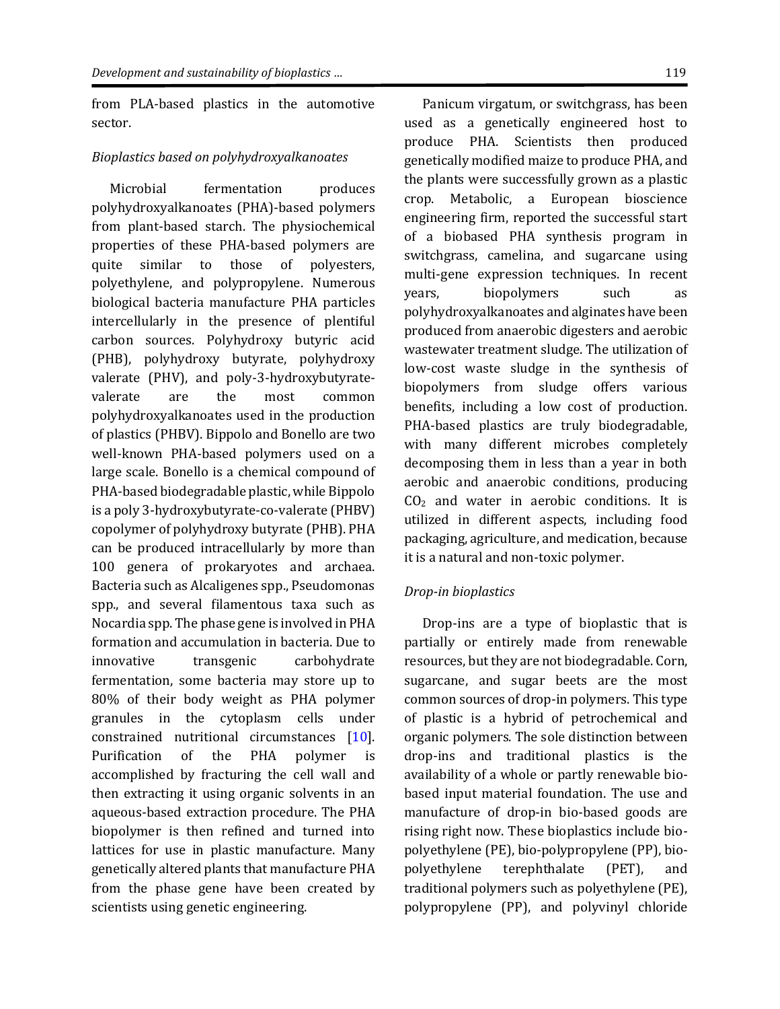from PLA-based plastics in the automotive sector.

#### *Bioplastics based on polyhydroxyalkanoates*

Microbial fermentation produces polyhydroxyalkanoates (PHA)-based polymers from plant-based starch. The physiochemical properties of these PHA-based polymers are quite similar to those of polyesters, polyethylene, and polypropylene. Numerous biological bacteria manufacture PHA particles intercellularly in the presence of plentiful carbon sources. Polyhydroxy butyric acid (PHB), polyhydroxy butyrate, polyhydroxy valerate (PHV), and poly-3-hydroxybutyratevalerate are the most common polyhydroxyalkanoates used in the production of plastics (PHBV). Bippolo and Bonello are two well-known PHA-based polymers used on a large scale. Bonello is a chemical compound of PHA-based biodegradable plastic, while Bippolo is a poly 3-hydroxybutyrate-co-valerate (PHBV) copolymer of polyhydroxy butyrate (PHB). PHA can be produced intracellularly by more than 100 genera of prokaryotes and archaea. Bacteria such as Alcaligenes spp., Pseudomonas spp., and several filamentous taxa such as Nocardia spp. The phase gene is involved in PHA formation and accumulation in bacteria. Due to innovative transgenic carbohydrate fermentation, some bacteria may store up to 80% of their body weight as PHA polymer granules in the cytoplasm cells under constrained nutritional circumstances [\[10\]](#page-15-9). Purification of the PHA polymer is accomplished by fracturing the cell wall and then extracting it using organic solvents in an aqueous-based extraction procedure. The PHA biopolymer is then refined and turned into lattices for use in plastic manufacture. Many genetically altered plants that manufacture PHA from the phase gene have been created by scientists using genetic engineering.

Panicum virgatum, or switchgrass, has been used as a genetically engineered host to produce PHA. Scientists then produced genetically modified maize to produce PHA, and the plants were successfully grown as a plastic crop. Metabolic, a European bioscience engineering firm, reported the successful start of a biobased PHA synthesis program in switchgrass, camelina, and sugarcane using multi-gene expression techniques. In recent years, biopolymers such as polyhydroxyalkanoates and alginates have been produced from anaerobic digesters and aerobic wastewater treatment sludge. The utilization of low-cost waste sludge in the synthesis of biopolymers from sludge offers various benefits, including a low cost of production. PHA-based plastics are truly biodegradable, with many different microbes completely decomposing them in less than a year in both aerobic and anaerobic conditions, producing  $CO<sub>2</sub>$  and water in aerobic conditions. It is utilized in different aspects, including food packaging, agriculture, and medication, because it is a natural and non-toxic polymer.

#### *Drop-in bioplastics*

Drop-ins are a type of bioplastic that is partially or entirely made from renewable resources, but they are not biodegradable. Corn, sugarcane, and sugar beets are the most common sources of drop-in polymers. This type of plastic is a hybrid of petrochemical and organic polymers. The sole distinction between drop-ins and traditional plastics is the availability of a whole or partly renewable biobased input material foundation. The use and manufacture of drop-in bio-based goods are rising right now. These bioplastics include biopolyethylene (PE), bio-polypropylene (PP), biopolyethylene terephthalate (PET), and traditional polymers such as polyethylene (PE), polypropylene (PP), and polyvinyl chloride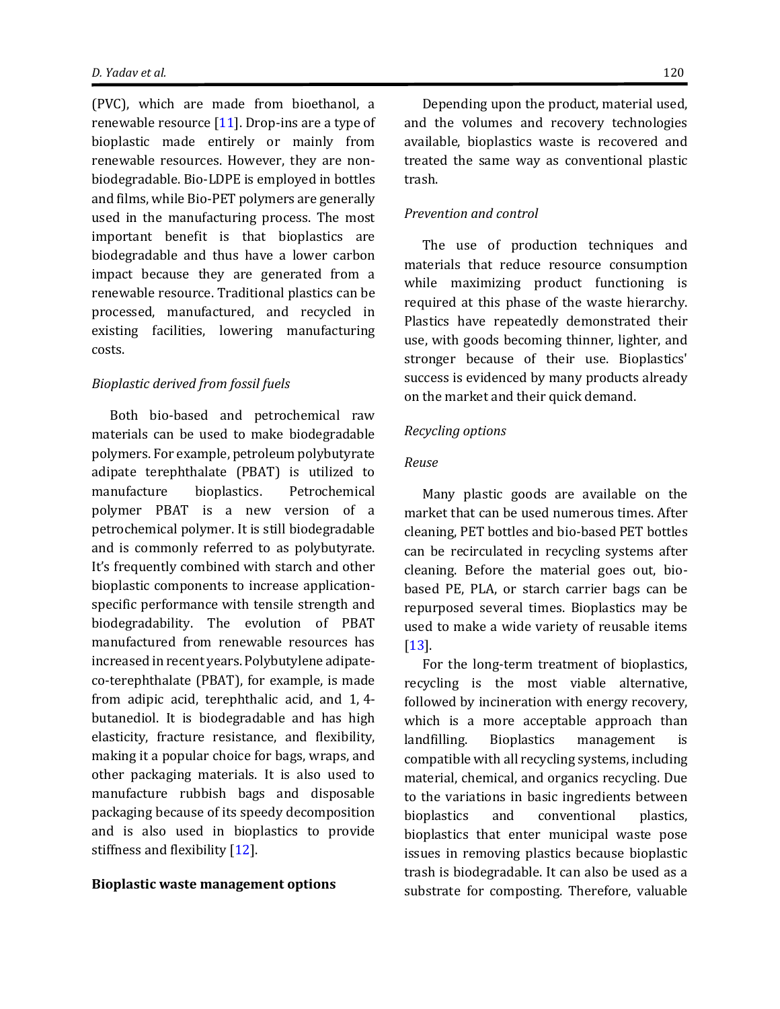(PVC), which are made from bioethanol, a renewable resource [\[11\]](#page-15-10). Drop-ins are a type of bioplastic made entirely or mainly from renewable resources. However, they are nonbiodegradable. Bio-LDPE is employed in bottles and films, while Bio-PET polymers are generally used in the manufacturing process. The most important benefit is that bioplastics are biodegradable and thus have a lower carbon impact because they are generated from a renewable resource. Traditional plastics can be processed, manufactured, and recycled in existing facilities, lowering manufacturing costs.

#### *Bioplastic derived from fossil fuels*

Both bio-based and petrochemical raw materials can be used to make biodegradable polymers. For example, petroleum polybutyrate adipate terephthalate (PBAT) is utilized to manufacture bioplastics. Petrochemical polymer PBAT is a new version of a petrochemical polymer. It is still biodegradable and is commonly referred to as polybutyrate. It's frequently combined with starch and other bioplastic components to increase applicationspecific performance with tensile strength and biodegradability. The evolution of PBAT manufactured from renewable resources has increased in recent years. Polybutylene adipateco-terephthalate (PBAT), for example, is made from adipic acid, terephthalic acid, and 1, 4 butanediol. It is biodegradable and has high elasticity, fracture resistance, and flexibility, making it a popular choice for bags, wraps, and other packaging materials. It is also used to manufacture rubbish bags and disposable packaging because of its speedy decomposition and is also used in bioplastics to provide stiffness and flexibility [\[12\]](#page-15-11).

#### **Bioplastic waste management options**

Depending upon the product, material used, and the volumes and recovery technologies available, bioplastics waste is recovered and treated the same way as conventional plastic trash.

#### *Prevention and control*

The use of production techniques and materials that reduce resource consumption while maximizing product functioning is required at this phase of the waste hierarchy. Plastics have repeatedly demonstrated their use, with goods becoming thinner, lighter, and stronger because of their use. Bioplastics' success is evidenced by many products already on the market and their quick demand.

#### *Recycling options*

#### *Reuse*

Many plastic goods are available on the market that can be used numerous times. After cleaning, PET bottles and bio-based PET bottles can be recirculated in recycling systems after cleaning. Before the material goes out, biobased PE, PLA, or starch carrier bags can be repurposed several times. Bioplastics may be used to make a wide variety of reusable items [\[13\]](#page-15-12).

For the long-term treatment of bioplastics, recycling is the most viable alternative, followed by incineration with energy recovery, which is a more acceptable approach than landfilling. Bioplastics management is compatible with all recycling systems, including material, chemical, and organics recycling. Due to the variations in basic ingredients between bioplastics and conventional plastics, bioplastics that enter municipal waste pose issues in removing plastics because bioplastic trash is biodegradable. It can also be used as a substrate for composting. Therefore, valuable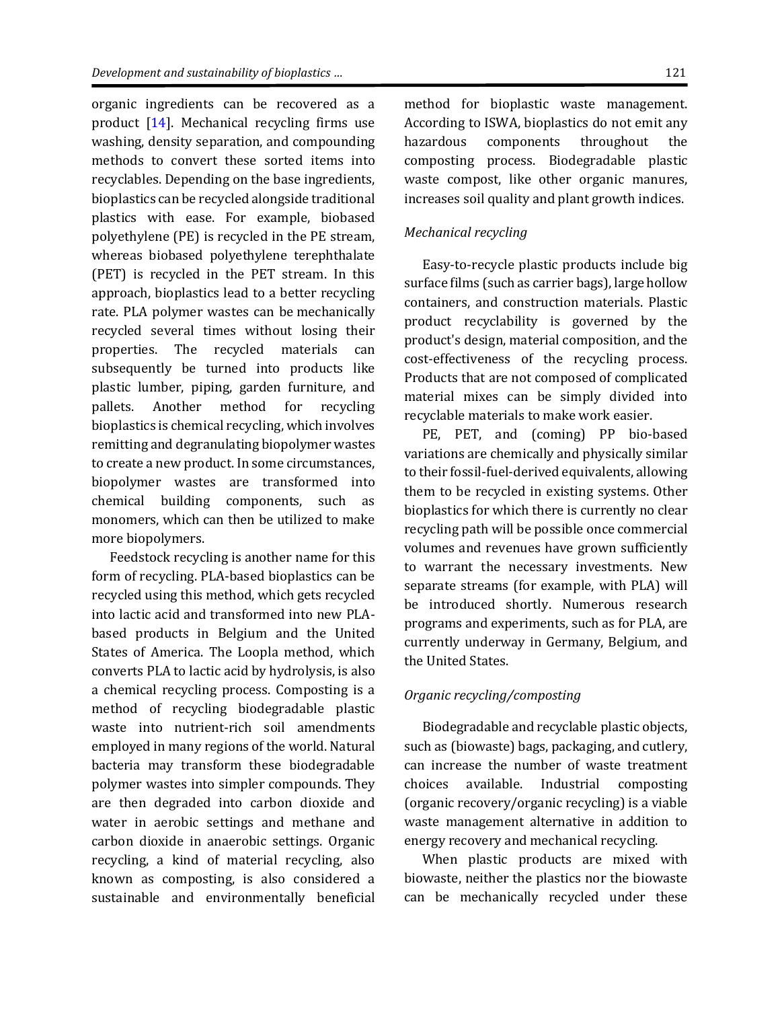organic ingredients can be recovered as a product [\[14\]](#page-15-13). Mechanical recycling firms use washing, density separation, and compounding methods to convert these sorted items into recyclables. Depending on the base ingredients, bioplastics can be recycled alongside traditional plastics with ease. For example, biobased polyethylene (PE) is recycled in the PE stream, whereas biobased polyethylene terephthalate (PET) is recycled in the PET stream. In this approach, bioplastics lead to a better recycling rate. PLA polymer wastes can be mechanically recycled several times without losing their properties. The recycled materials can subsequently be turned into products like plastic lumber, piping, garden furniture, and pallets. Another method for recycling bioplastics is chemical recycling, which involves remitting and degranulating biopolymer wastes to create a new product. In some circumstances, biopolymer wastes are transformed into chemical building components, such as monomers, which can then be utilized to make more biopolymers.

Feedstock recycling is another name for this form of recycling. PLA-based bioplastics can be recycled using this method, which gets recycled into lactic acid and transformed into new PLAbased products in Belgium and the United States of America. The Loopla method, which converts PLA to lactic acid by hydrolysis, is also a chemical recycling process. Composting is a method of recycling biodegradable plastic waste into nutrient-rich soil amendments employed in many regions of the world. Natural bacteria may transform these biodegradable polymer wastes into simpler compounds. They are then degraded into carbon dioxide and water in aerobic settings and methane and carbon dioxide in anaerobic settings. Organic recycling, a kind of material recycling, also known as composting, is also considered a sustainable and environmentally beneficial

method for bioplastic waste management. According to ISWA, bioplastics do not emit any hazardous components throughout the composting process. Biodegradable plastic waste compost, like other organic manures, increases soil quality and plant growth indices.

#### *Mechanical recycling*

Easy-to-recycle plastic products include big surface films (such as carrier bags), large hollow containers, and construction materials. Plastic product recyclability is governed by the product's design, material composition, and the cost-effectiveness of the recycling process. Products that are not composed of complicated material mixes can be simply divided into recyclable materials to make work easier.

PE, PET, and (coming) PP bio-based variations are chemically and physically similar to their fossil-fuel-derived equivalents, allowing them to be recycled in existing systems. Other bioplastics for which there is currently no clear recycling path will be possible once commercial volumes and revenues have grown sufficiently to warrant the necessary investments. New separate streams (for example, with PLA) will be introduced shortly. Numerous research programs and experiments, such as for PLA, are currently underway in Germany, Belgium, and the United States.

#### *Organic recycling/composting*

Biodegradable and recyclable plastic objects, such as (biowaste) bags, packaging, and cutlery, can increase the number of waste treatment choices available. Industrial composting (organic recovery/organic recycling) is a viable waste management alternative in addition to energy recovery and mechanical recycling.

When plastic products are mixed with biowaste, neither the plastics nor the biowaste can be mechanically recycled under these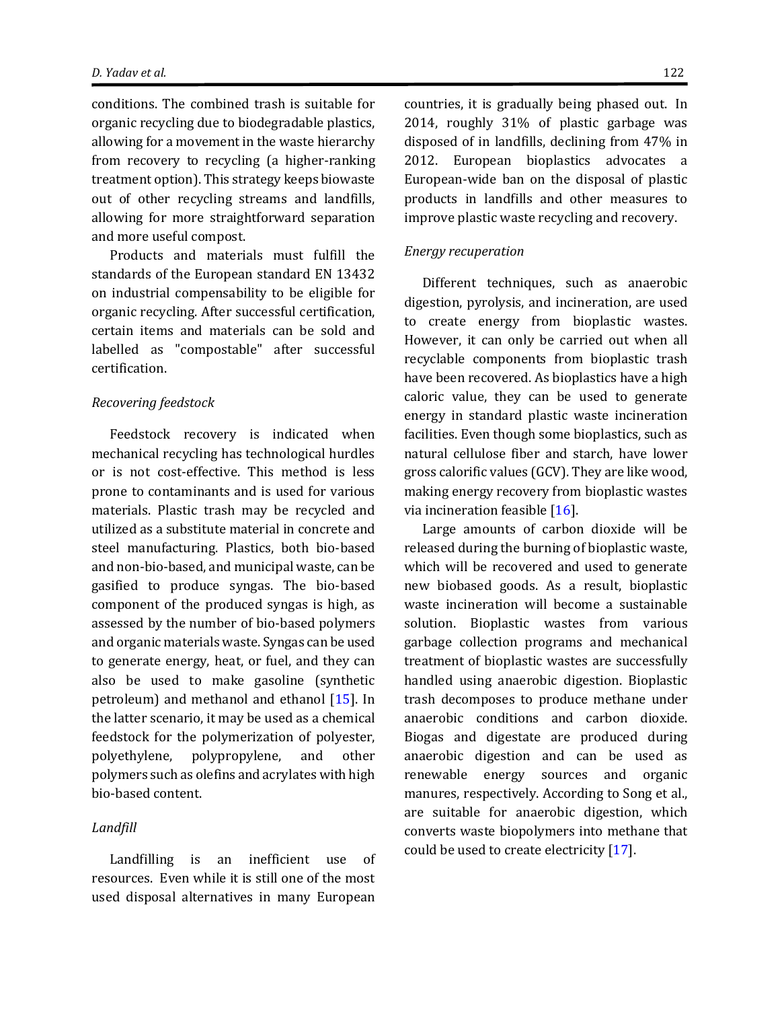conditions. The combined trash is suitable for organic recycling due to biodegradable plastics, allowing for a movement in the waste hierarchy from recovery to recycling (a higher-ranking treatment option). This strategy keeps biowaste out of other recycling streams and landfills, allowing for more straightforward separation and more useful compost.

Products and materials must fulfill the standards of the European standard EN 13432 on industrial compensability to be eligible for organic recycling. After successful certification, certain items and materials can be sold and labelled as "compostable" after successful certification.

#### *Recovering feedstock*

Feedstock recovery is indicated when mechanical recycling has technological hurdles or is not cost-effective. This method is less prone to contaminants and is used for various materials. Plastic trash may be recycled and utilized as a substitute material in concrete and steel manufacturing. Plastics, both bio-based and non-bio-based, and municipal waste, can be gasified to produce syngas. The bio-based component of the produced syngas is high, as assessed by the number of bio-based polymers and organic materials waste. Syngas can be used to generate energy, heat, or fuel, and they can also be used to make gasoline (synthetic petroleum) and methanol and ethanol [\[15\]](#page-15-14). In the latter scenario, it may be used as a chemical feedstock for the polymerization of polyester, polyethylene, polypropylene, and other polymers such as olefins and acrylates with high bio-based content.

#### *Landfill*

Landfilling is an inefficient use of resources. Even while it is still one of the most used disposal alternatives in many European

countries, it is gradually being phased out. In 2014, roughly 31% of plastic garbage was disposed of in landfills, declining from 47% in 2012. European bioplastics advocates a European-wide ban on the disposal of plastic products in landfills and other measures to improve plastic waste recycling and recovery.

#### *Energy recuperation*

Different techniques, such as anaerobic digestion, pyrolysis, and incineration, are used to create energy from bioplastic wastes. However, it can only be carried out when all recyclable components from bioplastic trash have been recovered. As bioplastics have a high caloric value, they can be used to generate energy in standard plastic waste incineration facilities. Even though some bioplastics, such as natural cellulose fiber and starch, have lower gross calorific values (GCV). They are like wood, making energy recovery from bioplastic wastes via incineration feasible [\[16\]](#page-15-15).

Large amounts of carbon dioxide will be released during the burning of bioplastic waste, which will be recovered and used to generate new biobased goods. As a result, bioplastic waste incineration will become a sustainable solution. Bioplastic wastes from various garbage collection programs and mechanical treatment of bioplastic wastes are successfully handled using anaerobic digestion. Bioplastic trash decomposes to produce methane under anaerobic conditions and carbon dioxide. Biogas and digestate are produced during anaerobic digestion and can be used as renewable energy sources and organic manures, respectively. According to Song et al., are suitable for anaerobic digestion, which converts waste biopolymers into methane that could be used to create electricity [\[17\]](#page-15-16).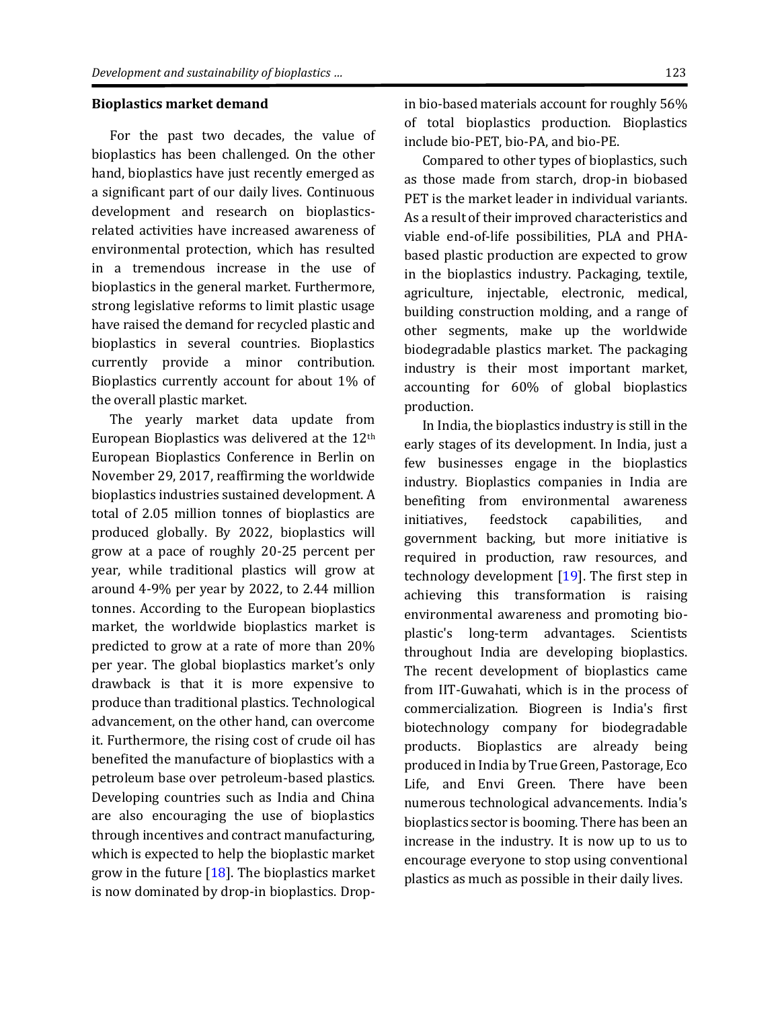#### **Bioplastics market demand**

For the past two decades, the value of bioplastics has been challenged. On the other hand, bioplastics have just recently emerged as a significant part of our daily lives. Continuous development and research on bioplasticsrelated activities have increased awareness of environmental protection, which has resulted in a tremendous increase in the use of bioplastics in the general market. Furthermore, strong legislative reforms to limit plastic usage have raised the demand for recycled plastic and bioplastics in several countries. Bioplastics currently provide a minor contribution. Bioplastics currently account for about 1% of the overall plastic market.

The yearly market data update from European Bioplastics was delivered at the 12th European Bioplastics Conference in Berlin on November 29, 2017, reaffirming the worldwide bioplastics industries sustained development. A total of 2.05 million tonnes of bioplastics are produced globally. By 2022, bioplastics will grow at a pace of roughly 20-25 percent per year, while traditional plastics will grow at around 4-9% per year by 2022, to 2.44 million tonnes. According to the European bioplastics market, the worldwide bioplastics market is predicted to grow at a rate of more than 20% per year. The global bioplastics market's only drawback is that it is more expensive to produce than traditional plastics. Technological advancement, on the other hand, can overcome it. Furthermore, the rising cost of crude oil has benefited the manufacture of bioplastics with a petroleum base over petroleum-based plastics. Developing countries such as India and China are also encouraging the use of bioplastics through incentives and contract manufacturing, which is expected to help the bioplastic market grow in the future  $[18]$ . The bioplastics market is now dominated by drop-in bioplastics. Dropin bio-based materials account for roughly 56% of total bioplastics production. Bioplastics include bio-PET, bio-PA, and bio-PE.

Compared to other types of bioplastics, such as those made from starch, drop-in biobased PET is the market leader in individual variants. As a result of their improved characteristics and viable end-of-life possibilities, PLA and PHAbased plastic production are expected to grow in the bioplastics industry. Packaging, textile, agriculture, injectable, electronic, medical, building construction molding, and a range of other segments, make up the worldwide biodegradable plastics market. The packaging industry is their most important market, accounting for 60% of global bioplastics production.

In India, the bioplastics industry is still in the early stages of its development. In India, just a few businesses engage in the bioplastics industry. Bioplastics companies in India are benefiting from environmental awareness initiatives, feedstock capabilities, and government backing, but more initiative is required in production, raw resources, and technology development [\[19\]](#page-15-18). The first step in achieving this transformation is raising environmental awareness and promoting bioplastic's long-term advantages. Scientists throughout India are developing bioplastics. The recent development of bioplastics came from IIT-Guwahati, which is in the process of commercialization. Biogreen is India's first biotechnology company for biodegradable products. Bioplastics are already being produced in India by True Green, Pastorage, Eco Life, and Envi Green. There have been numerous technological advancements. India's bioplastics sector is booming. There has been an increase in the industry. It is now up to us to encourage everyone to stop using conventional plastics as much as possible in their daily lives.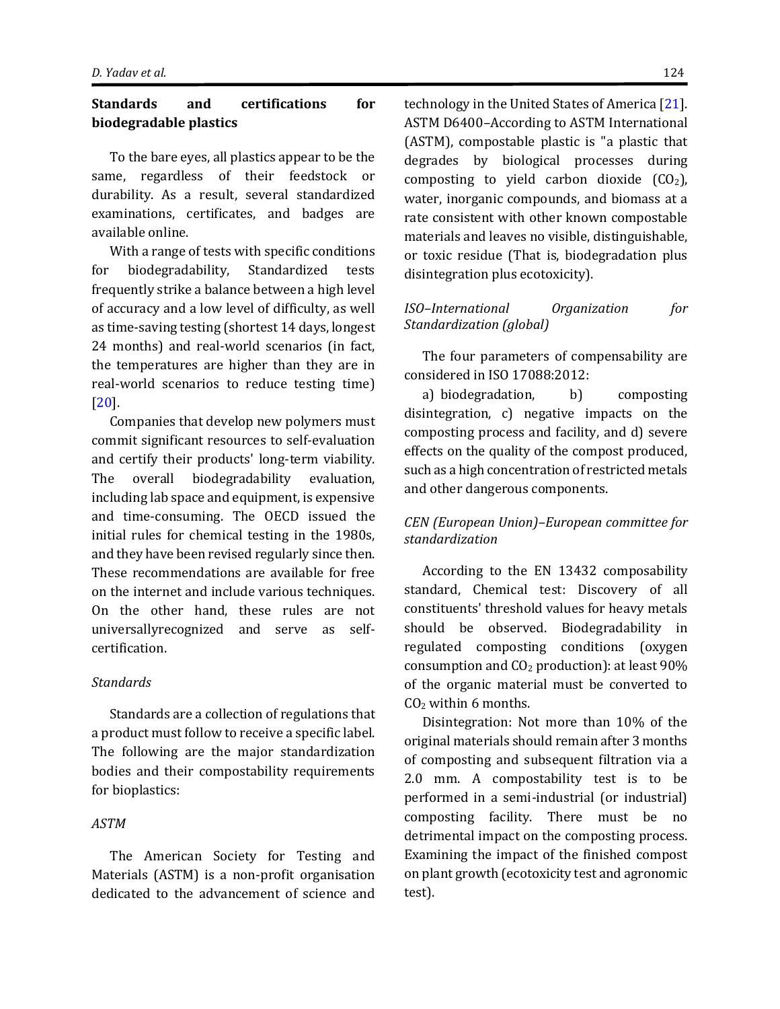# **Standards and certifications for biodegradable plastics**

To the bare eyes, all plastics appear to be the same, regardless of their feedstock or durability. As a result, several standardized examinations, certificates, and badges are available online.

With a range of tests with specific conditions for biodegradability, Standardized tests frequently strike a balance between a high level of accuracy and a low level of difficulty, as well as time-saving testing (shortest 14 days, longest 24 months) and real-world scenarios (in fact, the temperatures are higher than they are in real-world scenarios to reduce testing time) [\[20\]](#page-15-19).

Companies that develop new polymers must commit significant resources to self-evaluation and certify their products' long-term viability. The overall biodegradability evaluation, including lab space and equipment, is expensive and time-consuming. The OECD issued the initial rules for chemical testing in the 1980s, and they have been revised regularly since then. These recommendations are available for free on the internet and include various techniques. On the other hand, these rules are not universallyrecognized and serve as selfcertification.

#### *Standards*

Standards are a collection of regulations that a product must follow to receive a specific label. The following are the major standardization bodies and their compostability requirements for bioplastics:

## *ASTM*

The American Society for Testing and Materials (ASTM) is a non-profit organisation dedicated to the advancement of science and technology in the United States of America [\[21\]](#page-15-20). ASTM D6400–According to ASTM International (ASTM), compostable plastic is "a plastic that degrades by biological processes during composting to yield carbon dioxide  $(CO<sub>2</sub>)$ , water, inorganic compounds, and biomass at a rate consistent with other known compostable materials and leaves no visible, distinguishable, or toxic residue (That is, biodegradation plus disintegration plus ecotoxicity).

# *ISO–International Organization for Standardization (global)*

The four parameters of compensability are considered in ISO 17088:2012:

a) biodegradation, b) composting disintegration, c) negative impacts on the composting process and facility, and d) severe effects on the quality of the compost produced, such as a high concentration of restricted metals and other dangerous components.

# *CEN (European Union)–European committee for standardization*

According to the EN 13432 composability standard, Chemical test: Discovery of all constituents' threshold values for heavy metals should be observed. Biodegradability in regulated composting conditions (oxygen consumption and CO<sup>2</sup> production): at least 90% of the organic material must be converted to  $CO<sub>2</sub>$  within 6 months.

Disintegration: Not more than 10% of the original materials should remain after 3 months of composting and subsequent filtration via a 2.0 mm. A compostability test is to be performed in a semi-industrial (or industrial) composting facility. There must be no detrimental impact on the composting process. Examining the impact of the finished compost on plant growth (ecotoxicity test and agronomic test).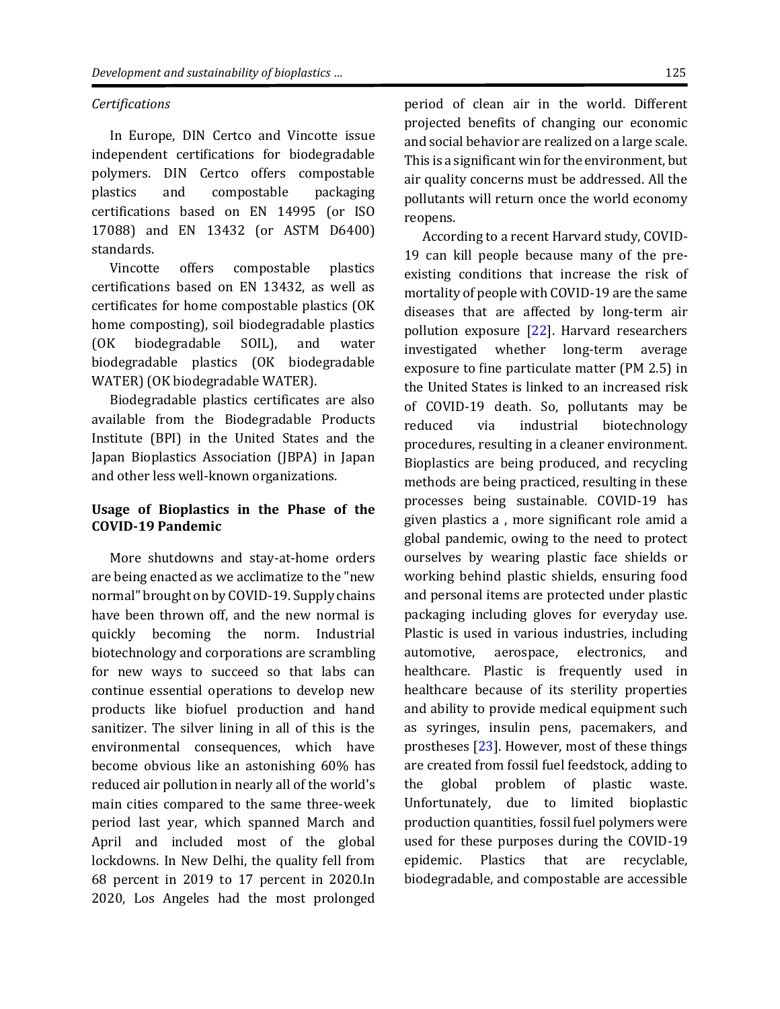#### *Certifications*

In Europe, DIN Certco and Vincotte issue independent certifications for biodegradable polymers. DIN Certco offers compostable plastics and compostable packaging certifications based on EN 14995 (or ISO 17088) and EN 13432 (or ASTM D6400) standards.

Vincotte offers compostable plastics certifications based on EN 13432, as well as certificates for home compostable plastics (OK home composting), soil biodegradable plastics (OK biodegradable SOIL), and water biodegradable plastics (OK biodegradable WATER) (OK biodegradable WATER).

Biodegradable plastics certificates are also available from the Biodegradable Products Institute (BPI) in the United States and the Japan Bioplastics Association (JBPA) in Japan and other less well-known organizations.

# **Usage of Bioplastics in the Phase of the COVID-19 Pandemic**

More shutdowns and stay-at-home orders are being enacted as we acclimatize to the "new normal" brought on by COVID-19. Supply chains have been thrown off, and the new normal is quickly becoming the norm. Industrial biotechnology and corporations are scrambling for new ways to succeed so that labs can continue essential operations to develop new products like biofuel production and hand sanitizer. The silver lining in all of this is the environmental consequences, which have become obvious like an astonishing 60% has reduced air pollution in nearly all of the world's main cities compared to the same three-week period last year, which spanned March and April and included most of the global lockdowns. In New Delhi, the quality fell from 68 percent in 2019 to 17 percent in 2020.In 2020, Los Angeles had the most prolonged period of clean air in the world. Different projected benefits of changing our economic and social behavior are realized on a large scale. This is a significant win for the environment, but air quality concerns must be addressed. All the pollutants will return once the world economy reopens.

According to a recent Harvard study, COVID-19 can kill people because many of the preexisting conditions that increase the risk of mortality of people with COVID-19 are the same diseases that are affected by long-term air pollution exposure [\[22\]](#page-15-20). Harvard researchers investigated whether long-term average exposure to fine particulate matter (PM 2.5) in the United States is linked to an increased risk of COVID-19 death. So, pollutants may be reduced via industrial biotechnology procedures, resulting in a cleaner environment. Bioplastics are being produced, and recycling methods are being practiced, resulting in these processes being sustainable. COVID-19 has given plastics a , more significant role amid a global pandemic, owing to the need to protect ourselves by wearing plastic face shields or working behind plastic shields, ensuring food and personal items are protected under plastic packaging including gloves for everyday use. Plastic is used in various industries, including automotive, aerospace, electronics, and healthcare. Plastic is frequently used in healthcare because of its sterility properties and ability to provide medical equipment such as syringes, insulin pens, pacemakers, and prostheses [\[23\]](#page-16-0). However, most of these things are created from fossil fuel feedstock, adding to the global problem of plastic waste. Unfortunately, due to limited bioplastic production quantities, fossil fuel polymers were used for these purposes during the COVID-19 epidemic. Plastics that are recyclable, biodegradable, and compostable are accessible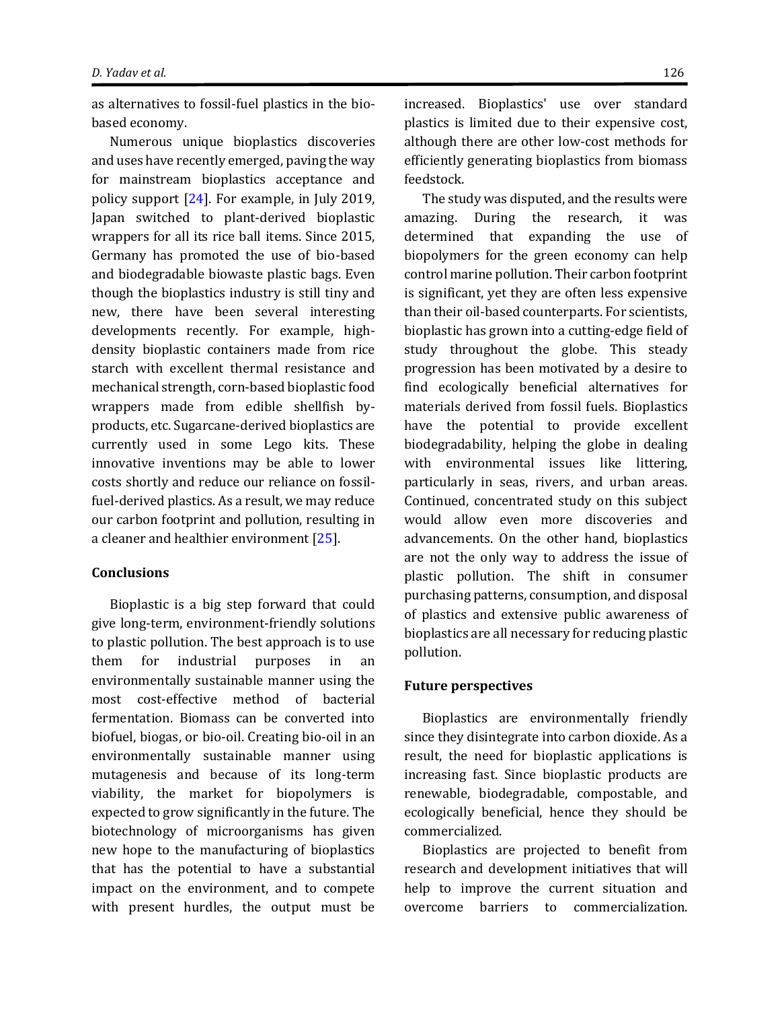as alternatives to fossil-fuel plastics in the biobased economy.

Numerous unique bioplastics discoveries and uses have recently emerged, paving the way for mainstream bioplastics acceptance and policy support [\[24\]](#page-16-1). For example, in July 2019, Japan switched to plant-derived bioplastic wrappers for all its rice ball items. Since 2015, Germany has promoted the use of bio-based and biodegradable biowaste plastic bags. Even though the bioplastics industry is still tiny and new, there have been several interesting developments recently. For example, highdensity bioplastic containers made from rice starch with excellent thermal resistance and mechanical strength, corn-based bioplastic food wrappers made from edible shellfish byproducts, etc. Sugarcane-derived bioplastics are currently used in some Lego kits. These innovative inventions may be able to lower costs shortly and reduce our reliance on fossilfuel-derived plastics. As a result, we may reduce our carbon footprint and pollution, resulting in a cleaner and healthier environment [\[25\]](#page-16-2).

#### **Conclusions**

Bioplastic is a big step forward that could give long-term, environment-friendly solutions to plastic pollution. The best approach is to use them for industrial purposes in an environmentally sustainable manner using the most cost-effective method of bacterial fermentation. Biomass can be converted into biofuel, biogas, or bio-oil. Creating bio-oil in an environmentally sustainable manner using mutagenesis and because of its long-term viability, the market for biopolymers is expected to grow significantly in the future. The biotechnology of microorganisms has given new hope to the manufacturing of bioplastics that has the potential to have a substantial impact on the environment, and to compete with present hurdles, the output must be

increased. Bioplastics' use over standard plastics is limited due to their expensive cost, although there are other low-cost methods for efficiently generating bioplastics from biomass feedstock.

The study was disputed, and the results were amazing. During the research, it was determined that expanding the use of biopolymers for the green economy can help control marine pollution. Their carbon footprint is significant, yet they are often less expensive than their oil-based counterparts. For scientists, bioplastic has grown into a cutting-edge field of study throughout the globe. This steady progression has been motivated by a desire to find ecologically beneficial alternatives for materials derived from fossil fuels. Bioplastics have the potential to provide excellent biodegradability, helping the globe in dealing with environmental issues like littering, particularly in seas, rivers, and urban areas. Continued, concentrated study on this subject would allow even more discoveries and advancements. On the other hand, bioplastics are not the only way to address the issue of plastic pollution. The shift in consumer purchasing patterns, consumption, and disposal of plastics and extensive public awareness of bioplastics are all necessary for reducing plastic pollution.

#### **Future perspectives**

Bioplastics are environmentally friendly since they disintegrate into carbon dioxide. As a result, the need for bioplastic applications is increasing fast. Since bioplastic products are renewable, biodegradable, compostable, and ecologically beneficial, hence they should be commercialized.

Bioplastics are projected to benefit from research and development initiatives that will help to improve the current situation and overcome barriers to commercialization.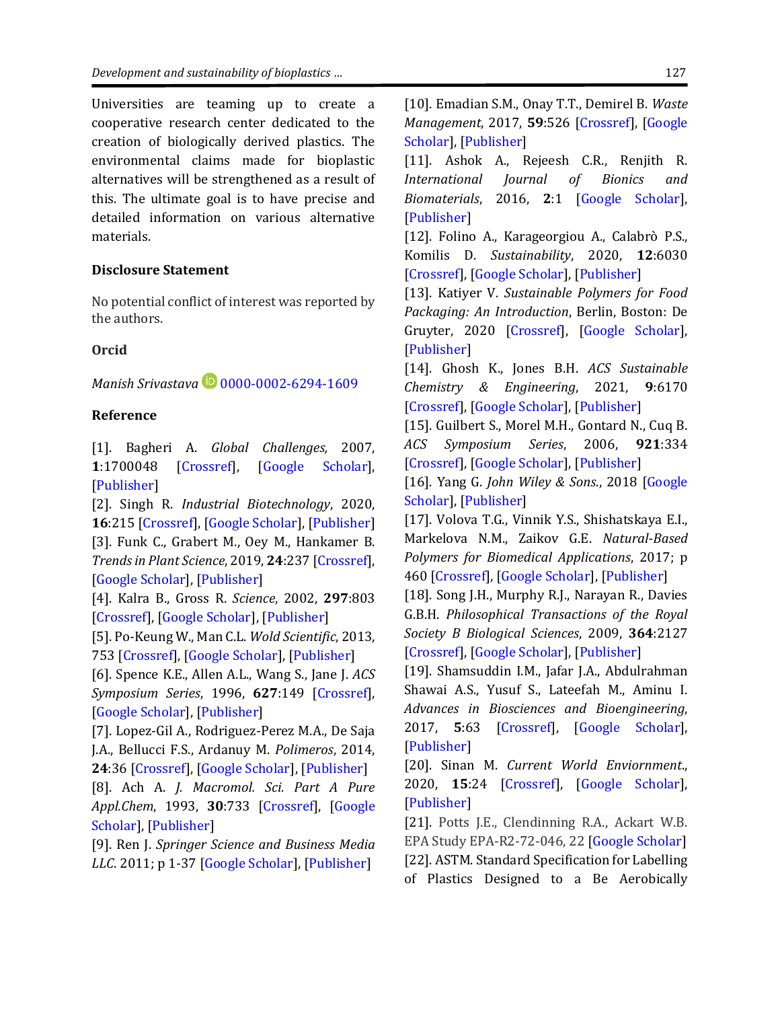Universities are teaming up to create a cooperative research center dedicated to the creation of biologically derived plastics. The environmental claims made for bioplastic alternatives will be strengthened as a result of this. The ultimate goal is to have precise and detailed information on various alternative materials.

#### **Disclosure Statement**

No potential conflict of interest was reported by the authors.

# **Orcid**

*Manish Srivastava* **D** [0000-0002-6294-1609](https://orcid.org/0000-0002-6294-1609)

#### <span id="page-15-0"></span>**Reference**

[1]. Bagheri A. *Global Challenges,* 2007, **1**:1700048 [\[Crossref\]](https://doi.org/10.1002/gch2.201700048), [\[Google Scholar\]](https://scholar.google.com/scholar?hl=en&as_sdt=0%2C5&q=Fate+of+so+called+biodegradable+polymers+in+seawater+and+freshwater&btnG=), [\[Publisher\]](https://onlinelibrary.wiley.com/doi/full/10.1002/gch2.201700048)

<span id="page-15-1"></span>[2]. Singh R. *Industrial Biotechnology*, 2020, **16**:215 [\[Crossref\]](https://doi.org/10.1089/ind.2020.29219.rsi), [\[Google Scholar\]](https://scholar.google.com/scholar?hl=en&as_sdt=0%2C5&q=The+New+Normal+for+Bioplastics+Amid+the+COVID-19+Pandemic&btnG=), [\[Publisher\]](https://www.liebertpub.com/doi/full/10.1089/ind.2020.29219.rsi) [3]. Funk C., Grabert M., Oey M., Hankamer B. *Trends in Plant Science*, 2019, **24**:237 [\[Crossref\]](https://doi.org/10.1016/j.tplants.2018.11.010), [\[Google Scholar\]](https://scholar.google.com/scholar?hl=en&as_sdt=0%2C5&q=Green+Bioplastics+as+Part+of+a+Circular+Bioeconomy&btnG=), [\[Publisher\]](https://www.sciencedirect.com/science/article/abs/pii/S1360138518302723)

<span id="page-15-3"></span>[4]. Kalra B., Gross R. *Science*, 2002, **297**:803 [\[Crossref\]](https://doi.org/10.1126/science.297.5582.803), [\[Google Scholar\]](https://scholar.google.com/scholar?hl=en&as_sdt=0%2C5&q=Biodegradable+polymers+for+the+enviornment&btnG=), [\[Publisher\]](https://www.science.org/doi/abs/10.1126/science.297.5582.803)

<span id="page-15-4"></span>[5]. Po-Keung W., Man C.L. *Wold Scientific*, 2013, 753 [\[Crossref\]](https://doi.org/10.1142/9789814366830_0020), [\[Google Scholar\]](https://scholar.google.com/scholar?hl=en&as_sdt=0%2C5&q=Municipal+and+Industrial+Solid+Waste+Treatment+&btnG=), [\[Publisher\]](https://www.worldscientific.com/doi/abs/10.1142/9789814366830_0020)

<span id="page-15-5"></span>[6]. Spence K.E., Allen A.L., Wang S., Jane J. *ACS Symposium Series*, 1996, **627**:149 [\[Crossref\]](https://doi.org/10.1021/bk-1996-0627.ch012), [\[Google Scholar\]](https://scholar.google.com/scholar?q=Soil+and+marine+biodegradation+of+protein+-+starch+plastics.+%22Hydrolysis%22+and+Biodegradable+for+Bioapplications&hl=en&as_sdt=0&as_vis=1&oi=scholart), [\[Publisher\]](https://pubs.acs.org/doi/abs/10.1021/bk-1996-0627.ch012)

<span id="page-15-6"></span>[7]. Lopez-Gil A., Rodriguez-Perez M.A., De Saja J.A., Bellucci F.S., Ardanuy M. *Polimeros*, 2014, **24**:36 [\[Crossref\]](http://dx.doi.org/10.4322/polimeros.2014.054), [\[Google Scholar\]](https://scholar.google.com/scholar?hl=en&as_sdt=0%2C5&as_vis=1&q=Strategies+to+improve+the+mechanical+properties+of+starch-based+materials%3APlasticization+and+natural+fibers+reinforcement&btnG=), [\[Publisher\]](https://www.scielo.br/j/po/a/HQH5MRGZhBNRGLWDkgXSmcb/?format=pdf&lang=en)

<span id="page-15-7"></span>[8]. Ach A. *J. Macromol. Sci. Part A Pure Appl.Chem*, 1993, **30**:733 [\[Crossref\]](https://doi.org/10.1080/10601329308021259), [\[Google](https://scholar.google.com/scholar?hl=en&as_sdt=0%2C5&q=Biodegradable+plastics+based+on+cellulose+acetate+&btnG=)  [Scholar\]](https://scholar.google.com/scholar?hl=en&as_sdt=0%2C5&q=Biodegradable+plastics+based+on+cellulose+acetate+&btnG=), [\[Publisher\]](https://www.tandfonline.com/doi/abs/10.1080/10601329308021259)

<span id="page-15-8"></span>[9]. Ren J. *Springer Science and Business Media LLC*. 2011; p 1-37 [\[Google Scholar\]](https://scholar.google.com/scholar?hl=en&as_sdt=0%2C5&q=Biodegradable+Poly%28Lactic+Acid%29%3B+Synthesis%2CModification%2CProcessing+and+Applications&btnG=), [\[Publisher\]](https://books.google.com/books?hl=en&lr=&id=JC-zMTB8YVIC&oi=fnd&pg=PP3&dq=Biodegradable+Poly(Lactic+Acid)%3B+Synthesis,Modification,Processing+and+Applications&ots=uVj43m3lpM&sig=-2JjpuEWZzkEvaYtS0npfzgI0Mw#v=onepage&q=Biodegradable%20Poly(Lactic%20Acid)%3B%20Synthesis%2CModification%2CProcessing%20and%20Applications&f=false)

<span id="page-15-9"></span>[10]. Emadian S.M., Onay T.T., Demirel B. *Waste Management*, 2017, **59**:526 [\[Crossref\]](https://doi.org/10.1016/j.wasman.2016.10.006), [\[Google](https://scholar.google.com/scholar?hl=en&as_sdt=0%2C5&q=Biodegradation+of+bioplastics+in+natural+enviornments&btnG=)  [Scholar\]](https://scholar.google.com/scholar?hl=en&as_sdt=0%2C5&q=Biodegradation+of+bioplastics+in+natural+enviornments&btnG=), [\[Publisher\]](https://www.sciencedirect.com/science/article/abs/pii/S0956053X1630561X)

<span id="page-15-10"></span>[11]. Ashok A., Rejeesh C.R., Renjith R. *International Journal of Bionics and Biomaterials*, 2016, **2**:1 [\[Google Scholar\]](https://scholar.google.com/scholar?hl=en&as_sdt=0%2C5&q=Biodegradable+polymers+for+sustainable+packaging+applications%3A+A+Review&btnG=), [\[Publisher\]](https://www.researchgate.net/profile/Rejeesh-C-R-2/publication/318531449_Biodegradable_Polymers_for_Sustainable_Packaging_Applications_A_Review/links/59888629aca27266ada4a10e/Biodegradable-Polymers-for-Sustainable-Packaging-Applications-A-Review.pdf)

<span id="page-15-11"></span>[12]. Folino A., Karageorgiou A., Calabrò P.S., Komilis D. *Sustainability*, 2020, **12**:6030 [\[Crossref\]](https://doi.org/10.3390/su12156030), [\[Google Scholar\]](https://scholar.google.com/scholar?hl=en&as_sdt=0%2C5&q=Biodegradation+of+Wasted+Bioplastics+in+Natural+and+Industrial+Enviornments%3A+A+Review&btnG=), [\[Publisher\]](https://www.mdpi.com/2071-1050/12/15/6030)

<span id="page-15-12"></span>[13]. Katiyer V. *Sustainable Polymers for Food Packaging: An Introduction*, Berlin, Boston: De Gruyter, 2020 [\[Crossref\]](https://doi.org/10.1515/9783110648034), [\[Google Scholar\]](https://scholar.google.com/scholar?hl=en&as_sdt=0%2C5&q=.Katiyer%2C+V.+%282020%29.+%22Sustainable+Polymers+for+Food+Packaging%22.+Walter+de+Grutyer+GmbH%2C+ISBN%3A+9783110648034&btnG=), [\[Publisher\]](https://www.degruyter.com/document/doi/10.1515/9783110648034/html)

<span id="page-15-13"></span>[14]. Ghosh K., Jones B.H. *ACS Sustainable Chemistry & Engineering*, 2021, **9**:6170 [\[Crossref\]](https://doi.org/10.1021/acssuschemeng.1c00801), [\[Google Scholar\]](https://scholar.google.com/scholar?q=Ghosh,+K.,+Jones,+B.H.,+Roadmap+to+biodegradable+plastic-current+and+research+needs.+ACS+Sustainable+Chemistry+%26+Engineering.2021,+9,+6170-6187&hl=en&as_sdt=0,5), [\[Publisher\]](https://pubs.acs.org/doi/abs/10.1021/acssuschemeng.1c00801)

<span id="page-15-14"></span>[15]. Guilbert S., Morel M.H., Gontard N., Cuq B. *ACS Symposium Series*, 2006, **921**:334 [\[Crossref\]](https://doi.org/10.1021/bk-2006-0921.ch024), [\[Google Scholar\]](https://scholar.google.com/scholar?hl=en&as_sdt=0%2C5&q=Protein-+based+plastics+and+composites+aas+smart+green+materials&btnG=), [\[Publisher\]](https://pubs.acs.org/doi/abs/10.1021/bk-2006-0921.ch024)

<span id="page-15-15"></span>[16]. Yang G. *John Wiley & Sons*., 2018 [\[Google](https://scholar.google.com/scholar?hl=en&as_sdt=0%2C5&q=Bioinspired+Materials+Science+and+Enginerring&btnG=)  [Scholar\]](https://scholar.google.com/scholar?hl=en&as_sdt=0%2C5&q=Bioinspired+Materials+Science+and+Enginerring&btnG=), [\[Publisher\]](https://books.google.com/books?hl=en&lr=&id=-edhDwAAQBAJ&oi=fnd&pg=PA13&dq=Bioinspired+Materials+Science+and+Engineering&ots=gJGaHzy4Ap&sig=mNA6YQvp3J9mM8myPAcgftlsuzg#v=onepage&q=Bioinspired%20Materials%20Science%20and%20Engineering&f=false)

<span id="page-15-16"></span><span id="page-15-2"></span>[17]. Volova T.G., Vinnik Y.S., Shishatskaya E.I., Markelova N.M., Zaikov G.E. *Natural-Based Polymers for Biomedical Applications*, 2017; p 460 [\[Crossref\]](https://doi.org/10.1201/9781315366036), [\[Google Scholar\]](https://scholar.google.com/scholar?hl=en&as_sdt=0%2C5&q=Zaikov%2C+G.+%282017%29.+Natural-Based+Polymers+for+Biomedical+Applications.+Apple+Academic+Press.+ISBN%3A+9781315366036&btnG=), [\[Publisher\]](https://www.taylorfrancis.com/books/mono/10.1201/9781315366036/natural-based-polymers-biomedical-applications-tatiana-volova-yuri-vinnik-ekaterina-shishatskaya-nadejda-markelova-gennady-zaikov)

<span id="page-15-17"></span>[18]. Song J.H., Murphy R.J., Narayan R., Davies G.B.H. *Philosophical Transactions of the Royal Society B Biological Sciences*, 2009, **364**:2127 [\[Crossref\]](https://doi.org/10.1098/rstb.2008.0289), [\[Google Scholar\]](https://scholar.google.com/scholar?hl=en&as_sdt=0%2C5&q=Biodegradable+and+compostable+alternative+to+conventional+plastics%22.+Philosophical+Transactions+of+The+Royal+Society+B+Biological+Sciences&btnG=), [\[Publisher\]](https://royalsocietypublishing.org/doi/abs/10.1098/rstb.2008.0289)

<span id="page-15-18"></span>[19]. Shamsuddin I.M., Jafar J.A., Abdulrahman Shawai A.S., Yusuf S., Lateefah M., Aminu I. *Advances in Biosciences and Bioengineering*, 2017, **5**:63 [\[Crossref\]](https://doi.org/10.11648/j.abb.20170504.13), [\[Google Scholar\]](https://scholar.google.com/scholar?hl=en&as_sdt=0%2C5&q=Shamsuddin%2C+I.+M.+%282017%29.+%22Bioplastics+as+Better+to+Petrplastics+and+Their+role+in+National+Sustainability%3A+A+Review%22.+Advances+in+Biosciences+and+Bioengineering%2C+5%284%29%2C63-70.&btnG=), [\[Publisher\]](https://www.researchgate.net/profile/Ibrahim-Shamsuddin-2/publication/321649504_Bioplastics_as_Better_Alternative_to_Petroplastics_and_Their_Role_in_National_Sustainability_A_Review/links/5b37a453aca2720785fa71dd/Bioplastics-as-Better-Alternative-to-Petroplastics-and-Their-Role-in-National-Sustainability-A-Review.pdf)

<span id="page-15-19"></span>[20]. Sinan M. *Current World Enviornment*., 2020, **15**:24 [\[Crossref\]](http://dx.doi.org/10.12944/CWE.15.1.05), [\[Google Scholar\]](https://scholar.google.com/scholar?hl=en&as_sdt=0%2C5&q=Bioplastics+for+Sustainable+Development+%3A+General+Scenario+in+India&btnG=), [\[Publisher\]](https://www.proquest.com/openview/6a9dcae9a47142247dc94dc02d85c7ae/1?pq-origsite=gscholar&cbl=2035006)

<span id="page-15-20"></span>[21]. Potts J.E., Clendinning R.A., Ackart W.B. EPA Study EPA-R2-72-046, 22 [Google Scholar] [22]. ASTM. Standard Specification for Labelling of Plastics Designed to a Be Aerobically